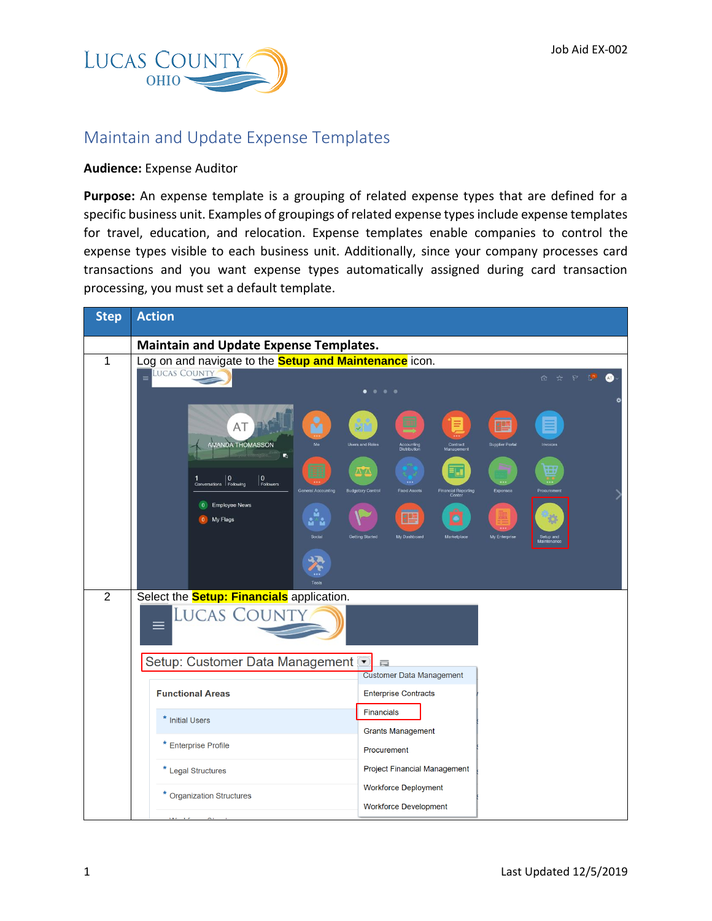

## Maintain and Update Expense Templates

## **Audience:** Expense Auditor

**Purpose:** An expense template is a grouping of related expense types that are defined for a specific business unit. Examples of groupings of related expense types include expense templates for travel, education, and relocation. Expense templates enable companies to control the expense types visible to each business unit. Additionally, since your company processes card transactions and you want expense types automatically assigned during card transaction processing, you must set a default template.

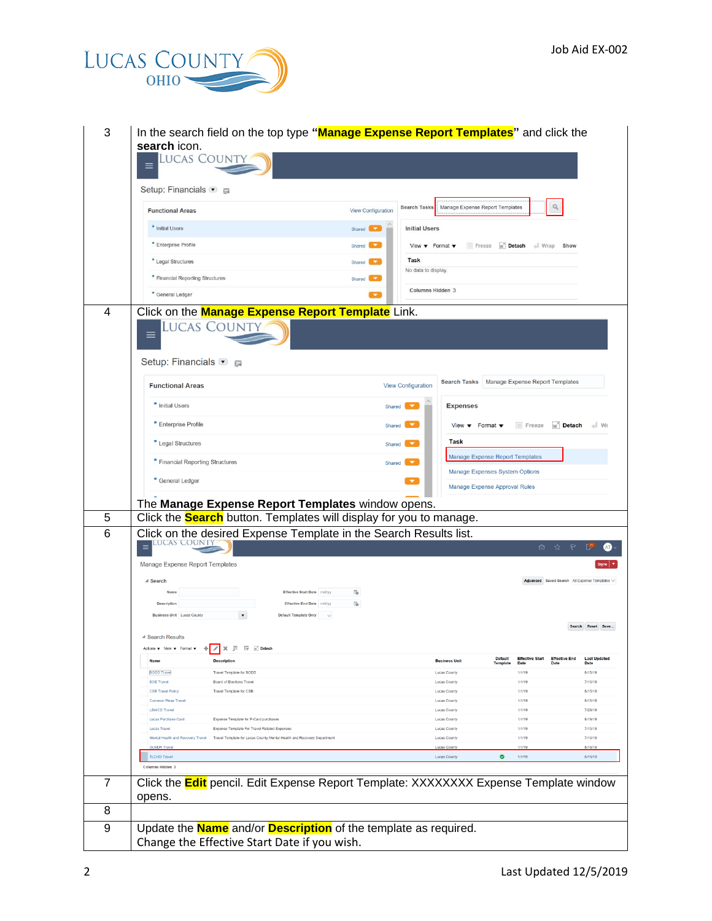

|   | <b>LUCAS COUNT</b>                                                                                                                                           |                                                                                                                 |
|---|--------------------------------------------------------------------------------------------------------------------------------------------------------------|-----------------------------------------------------------------------------------------------------------------|
|   |                                                                                                                                                              |                                                                                                                 |
|   | Setup: Financials ● ■                                                                                                                                        |                                                                                                                 |
|   | <b>Functional Areas</b>                                                                                                                                      | Q<br><b>Search Tasks</b><br>Manage Expense Report Templates<br><b>View Configuration</b>                        |
|   | * Initial Users                                                                                                                                              | <b>Initial Users</b><br>Shared                                                                                  |
|   | * Enterprise Profile                                                                                                                                         | Freeze <b>Detach</b> Wrap Show<br>Shared I<br>View $\bullet$ Format $\bullet$                                   |
|   | * Legal Structures                                                                                                                                           | Task<br>Shared <b>Company</b><br>No data to display.                                                            |
|   | * Financial Reporting Structures                                                                                                                             | Shared <b>County</b>                                                                                            |
|   | * General Ledger                                                                                                                                             | Columns Hidden 3                                                                                                |
| 4 | Click on the <b>Manage Expense Report Template</b> Link.<br>Lucas County<br>Setup: Financials ● ■                                                            |                                                                                                                 |
|   | <b>Functional Areas</b>                                                                                                                                      | Search Tasks   Manage Expense Report Templates<br><b>View Configuration</b>                                     |
|   | * Initial Users                                                                                                                                              | <b>Expenses</b><br>Shared                                                                                       |
|   | * Enterprise Profile                                                                                                                                         | <b>III</b> Freeze<br>Detach<br>$\perp$ Wr<br>View $\blacktriangledown$ Format $\blacktriangledown$<br>Shared    |
|   | * Legal Structures                                                                                                                                           | Task<br>Shared                                                                                                  |
|   | * Financial Reporting Structures                                                                                                                             | Manage Expense Report Templates<br>Shared                                                                       |
|   | * General Ledger                                                                                                                                             | <b>Manage Expenses System Options</b>                                                                           |
|   |                                                                                                                                                              | <b>Manage Expense Approval Rules</b>                                                                            |
|   | The Manage Expense Report Templates window opens.                                                                                                            |                                                                                                                 |
|   |                                                                                                                                                              |                                                                                                                 |
| 5 | Click the <b>Search</b> button. Templates will display for you to manage.                                                                                    |                                                                                                                 |
| 6 | Click on the desired Expense Template in the Search Results list.                                                                                            | ⋒<br>☆                                                                                                          |
|   | Manage Expense Report Templates                                                                                                                              |                                                                                                                 |
|   | ⊿ Search                                                                                                                                                     | Advanced Saved Search All Expense Templates V                                                                   |
|   | Effective Start Date mid/yy<br>Name                                                                                                                          | lig                                                                                                             |
|   | Description<br>Effective End Date mid/yy<br><b>Business Unit</b> Lucas County<br><b>Default Template Only</b>                                                | 陷                                                                                                               |
|   |                                                                                                                                                              | Search Reset Save                                                                                               |
|   | ▲ Search Results                                                                                                                                             |                                                                                                                 |
|   | Actions $\mathbf v$ View $\mathbf v$ Format $\mathbf v$ + $\mathbf x$ / $\mathbf x$ $\mathbb F$ $\mathbb F$ $\mathbb F$ Detach<br>Name<br><b>Description</b> | <b>Effective End</b><br><b>Default</b><br><b>Effective Start</b><br><b>Last Updated</b><br><b>Business Unit</b> |
|   | <b>BODD Travel</b><br>Travel Template for BODD                                                                                                               | <b>Template</b><br>Date<br>Date<br>Date<br>1/1/19<br>8/15/19<br>Lucas County                                    |
|   | <b>BOE Travel</b><br><b>Board of Elections Travel</b>                                                                                                        | Lucas County<br>1/1/19<br>7/10/19                                                                               |
|   | CSB Travel Policy<br>Travel Template for CSB                                                                                                                 | Lucas County<br>1/1/19<br>8/15/19                                                                               |
|   | Common Pleas Travel<br><b>LSWCD Travel</b>                                                                                                                   | 1/1/19<br>Lucas County<br>8/15/19<br>1/1/19<br>Lucas County<br>7/29/19                                          |
|   | Lucas Purchase Card<br>Expense Template for P-Card purchases                                                                                                 | 1/1/19<br>8/19/19<br>Lucas County                                                                               |
|   | <b>Lucas Travel</b><br>Expense Template For Travel Related Expenses                                                                                          | <b>Lucas County</b><br>1/1/19<br>7/10/19                                                                        |
|   | Mental Health and Recovery Travel<br>Travel Template for Lucas County Mental Health and Recovery Department                                                  | 1/1/19<br>7/10/19<br>Lucas County                                                                               |
|   | <b>TLCHD Travel</b>                                                                                                                                          | 1/1/19<br>8/19/19<br><b>Lucas Count</b><br>$\bullet$<br>Lucas County<br>1/1/19<br>8/19/19                       |
|   | Columns Hidden 3                                                                                                                                             |                                                                                                                 |
| 7 |                                                                                                                                                              | Click the <b>Edit</b> pencil. Edit Expense Report Template: XXXXXXXX Expense Template window                    |
| 8 | opens.                                                                                                                                                       |                                                                                                                 |